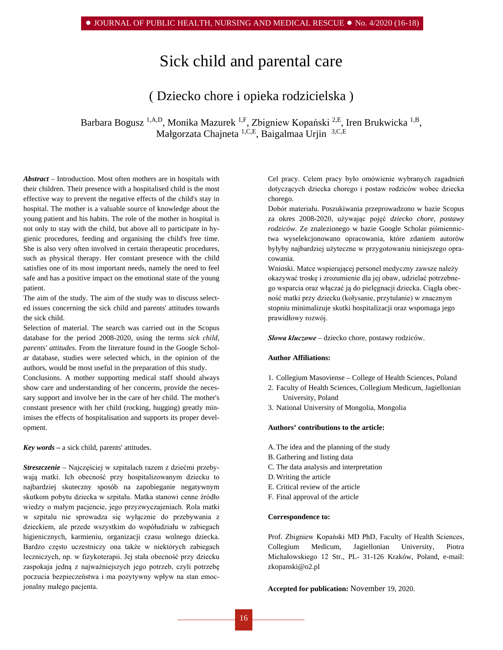# Sick child and parental care

## ( Dziecko chore i opieka rodzicielska )

Barbara Bogusz <sup>1,A,D</sup>, Monika Mazurek <sup>1,F</sup>, Zbigniew Kopański <sup>2,E</sup>, Iren Brukwicka <sup>1,B</sup>, Małgorzata Chajneta 1,C,E, Baigalmaa Urjin 3,C,E

*Abstract –* Introduction. Most often mothers are in hospitals with their children. Their presence with a hospitalised child is the most effective way to prevent the negative effects of the child's stay in hospital. The mother is a valuable source of knowledge about the young patient and his habits. The role of the mother in hospital is not only to stay with the child, but above all to participate in hygienic procedures, feeding and organising the child's free time. She is also very often involved in certain therapeutic procedures, such as physical therapy. Her constant presence with the child satisfies one of its most important needs, namely the need to feel safe and has a positive impact on the emotional state of the young patient.

The aim of the study. The aim of the study was to discuss selected issues concerning the sick child and parents' attitudes towards the sick child.

Selection of material. The search was carried out in the Scopus database for the period 2008-2020, using the terms *sick child, parents' attitudes*. From the literature found in the [Google Schol](http://scholar.google.pl/)[ar database,](http://scholar.google.pl/) studies were selected which, in the opinion of the authors, would be most useful in the preparation of this study.

Conclusions. A mother supporting medical staff should always show care and understanding of her concerns, provide the necessary support and involve her in the care of her child. The mother's constant presence with her child (rocking, hugging) greatly minimises the effects of hospitalisation and supports its proper development.

*Key words –* a sick child, parents' attitudes.

*Streszczenie –* Najczęściej w szpitalach razem z dziećmi przebywają matki. Ich obecność przy hospitalizowanym dziecku to najbardziej skuteczny sposób na zapobieganie negatywnym skutkom pobytu dziecka w szpitalu. Matka stanowi cenne źródło wiedzy o małym pacjencie, jego przyzwyczajeniach. Rola matki w szpitalu nie sprowadza się wyłącznie do przebywania z dzieckiem, ale przede wszystkim do współudziału w zabiegach higienicznych, karmieniu, organizacji czasu wolnego dziecka. Bardzo często uczestniczy ona także w niektórych zabiegach leczniczych, np. w fizykoterapii. Jej stała obecność przy dziecku zaspokaja jedną z najważniejszych jego potrzeb, czyli potrzebę poczucia bezpieczeństwa i ma pozytywny wpływ na stan emocjonalny małego pacjenta.

Cel pracy. Celem pracy było omówienie wybranych zagadnień dotyczących dziecka chorego i postaw rodziców wobec dziecka chorego.

Dobór materiału. Poszukiwania przeprowadzono w bazie Scopus za okres 2008-2020, używając pojęć *dziecko chore, postawy rodziców*. Ze znalezionego w bazie [Google Scholar](http://scholar.google.pl/) piśmiennictwa wyselekcjonowano opracowania, które zdaniem autorów byłyby najbardziej użyteczne w przygotowaniu niniejszego opracowania.

Wnioski. Matce wspierającej personel medyczny zawsze należy okazywać troskę i zrozumienie dla jej obaw, udzielać potrzebnego wsparcia oraz włączać ją do pielęgnacji dziecka. Ciągła obecność matki przy dziecku (kołysanie, przytulanie) w znacznym stopniu minimalizuje skutki hospitalizacji oraz wspomaga jego prawidłowy rozwój.

*Słowa kluczowe –* dziecko chore, postawy rodziców.

#### **Author Affiliations:**

- 1. Collegium Masoviense College of Health Sciences, Poland
- 2. Faculty of Health Sciences, Collegium Medicum, Jagiellonian University, Poland
- 3. National University of Mongolia, Mongolia

#### **Authors' contributions to the article:**

- A.The idea and the planning of the study
- B. Gathering and listing data
- C. The data analysis and interpretation
- D.Writing the article
- E. Critical review of the article
- F. Final approval of the article

#### **Correspondence to:**

Prof. Zbigniew Kopański MD PhD, Faculty of Health Sciences, Collegium Medicum, Jagiellonian University, Piotra Michałowskiego 12 Str., PL- 31-126 Kraków, Poland, e-mail: [zkopanski@o2.pl](mailto:zkopanski@o2.pl)

**Accepted for publication:** November 19, 2020.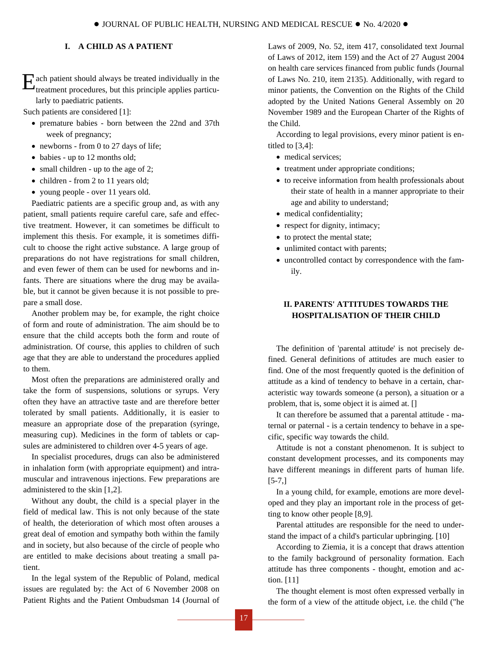## **I. A CHILD AS A PATIENT**

E ach patient should always be treated individually in the treatment procedures, but this principle applies particutreatment procedures, but this principle applies particularly to paediatric patients.

Such patients are considered [1]:

- premature babies born between the 22nd and 37th week of pregnancy;
- newborns from 0 to 27 days of life;
- babies up to 12 months old;
- small children up to the age of 2;
- children from 2 to 11 years old;
- young people over 11 years old.

Paediatric patients are a specific group and, as with any patient, small patients require careful care, safe and effective treatment. However, it can sometimes be difficult to implement this thesis. For example, it is sometimes difficult to choose the right active substance. A large group of preparations do not have registrations for small children, and even fewer of them can be used for newborns and infants. There are situations where the drug may be available, but it cannot be given because it is not possible to prepare a small dose.

Another problem may be, for example, the right choice of form and route of administration. The aim should be to ensure that the child accepts both the form and route of administration. Of course, this applies to children of such age that they are able to understand the procedures applied to them.

Most often the preparations are administered orally and take the form of suspensions, solutions or syrups. Very often they have an attractive taste and are therefore better tolerated by small patients. Additionally, it is easier to measure an appropriate dose of the preparation (syringe, measuring cup). Medicines in the form of tablets or capsules are administered to children over 4-5 years of age.

In specialist procedures, drugs can also be administered in inhalation form (with appropriate equipment) and intramuscular and intravenous injections. Few preparations are administered to the skin [1,2].

Without any doubt, the child is a special player in the field of medical law. This is not only because of the state of health, the deterioration of which most often arouses a great deal of emotion and sympathy both within the family and in society, but also because of the circle of people who are entitled to make decisions about treating a small patient.

In the legal system of the Republic of Poland, medical issues are regulated by: the Act of 6 November 2008 on Patient Rights and the Patient Ombudsman 14 (Journal of Laws of 2009, No. 52, item 417, consolidated text Journal of Laws of 2012, item 159) and the Act of 27 August 2004 on health care services financed from public funds (Journal of Laws No. 210, item 2135). Additionally, with regard to minor patients, the Convention on the Rights of the Child adopted by the United Nations General Assembly on 20 November 1989 and the European Charter of the Rights of the Child.

According to legal provisions, every minor patient is entitled to [3,4]:

- medical services;
- treatment under appropriate conditions;
- to receive information from health professionals about their state of health in a manner appropriate to their age and ability to understand;
- medical confidentiality;
- respect for dignity, intimacy;
- to protect the mental state;
- unlimited contact with parents;
- uncontrolled contact by correspondence with the family.

## **II. PARENTS' ATTITUDES TOWARDS THE HOSPITALISATION OF THEIR CHILD**

The definition of 'parental attitude' is not precisely defined. General definitions of attitudes are much easier to find. One of the most frequently quoted is the definition of attitude as a kind of tendency to behave in a certain, characteristic way towards someone (a person), a situation or a problem, that is, some object it is aimed at. []

It can therefore be assumed that a parental attitude - maternal or paternal - is a certain tendency to behave in a specific, specific way towards the child.

Attitude is not a constant phenomenon. It is subject to constant development processes, and its components may have different meanings in different parts of human life.  $[5-7,]$ 

In a young child, for example, emotions are more developed and they play an important role in the process of getting to know other people [8,9].

Parental attitudes are responsible for the need to understand the impact of a child's particular upbringing. [10]

According to Ziemia, it is a concept that draws attention to the family background of personality formation. Each attitude has three components - thought, emotion and action. [11]

The thought element is most often expressed verbally in the form of a view of the attitude object, i.e. the child ("he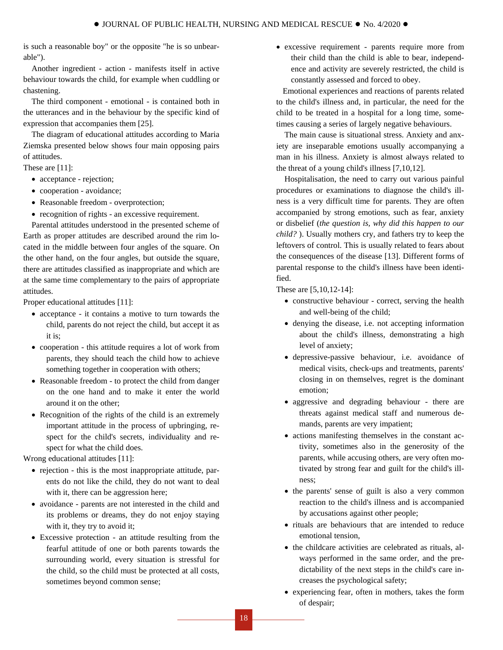is such a reasonable boy" or the opposite "he is so unbearable").

Another ingredient - action - manifests itself in active behaviour towards the child, for example when cuddling or chastening.

The third component - emotional - is contained both in the utterances and in the behaviour by the specific kind of expression that accompanies them [25].

The diagram of educational attitudes according to Maria Ziemska presented below shows four main opposing pairs of attitudes.

These are [11]:

- acceptance rejection;
- cooperation avoidance;
- Reasonable freedom overprotection;
- recognition of rights an excessive requirement.

Parental attitudes understood in the presented scheme of Earth as proper attitudes are described around the rim located in the middle between four angles of the square. On the other hand, on the four angles, but outside the square, there are attitudes classified as inappropriate and which are at the same time complementary to the pairs of appropriate attitudes.

Proper educational attitudes [11]:

- acceptance it contains a motive to turn towards the child, parents do not reject the child, but accept it as it is;
- cooperation this attitude requires a lot of work from parents, they should teach the child how to achieve something together in cooperation with others;
- Reasonable freedom to protect the child from danger on the one hand and to make it enter the world around it on the other;
- Recognition of the rights of the child is an extremely important attitude in the process of upbringing, respect for the child's secrets, individuality and respect for what the child does.

Wrong educational attitudes [11]:

- rejection this is the most inappropriate attitude, parents do not like the child, they do not want to deal with it, there can be aggression here;
- avoidance parents are not interested in the child and its problems or dreams, they do not enjoy staying with it, they try to avoid it;
- Excessive protection an attitude resulting from the fearful attitude of one or both parents towards the surrounding world, every situation is stressful for the child, so the child must be protected at all costs, sometimes beyond common sense;

• excessive requirement - parents require more from their child than the child is able to bear, independence and activity are severely restricted, the child is constantly assessed and forced to obey.

Emotional experiences and reactions of parents related to the child's illness and, in particular, the need for the child to be treated in a hospital for a long time, sometimes causing a series of largely negative behaviours.

The main cause is situational stress. Anxiety and anxiety are inseparable emotions usually accompanying a man in his illness. Anxiety is almost always related to the threat of a young child's illness [7,10,12].

Hospitalisation, the need to carry out various painful procedures or examinations to diagnose the child's illness is a very difficult time for parents. They are often accompanied by strong emotions, such as fear, anxiety or disbelief (*the question is, why did this happen to our child?* ). Usually mothers cry, and fathers try to keep the leftovers of control. This is usually related to fears about the consequences of the disease [13]. Different forms of parental response to the child's illness have been identified.

These are [5,10,12-14]:

- constructive behaviour correct, serving the health and well-being of the child;
- denying the disease, i.e. not accepting information about the child's illness, demonstrating a high level of anxiety;
- depressive-passive behaviour, i.e. avoidance of medical visits, check-ups and treatments, parents' closing in on themselves, regret is the dominant emotion;
- aggressive and degrading behaviour there are threats against medical staff and numerous demands, parents are very impatient;
- actions manifesting themselves in the constant activity, sometimes also in the generosity of the parents, while accusing others, are very often motivated by strong fear and guilt for the child's illness;
- the parents' sense of guilt is also a very common reaction to the child's illness and is accompanied by accusations against other people;
- rituals are behaviours that are intended to reduce emotional tension,
- the childcare activities are celebrated as rituals, always performed in the same order, and the predictability of the next steps in the child's care increases the psychological safety;
- experiencing fear, often in mothers, takes the form of despair;